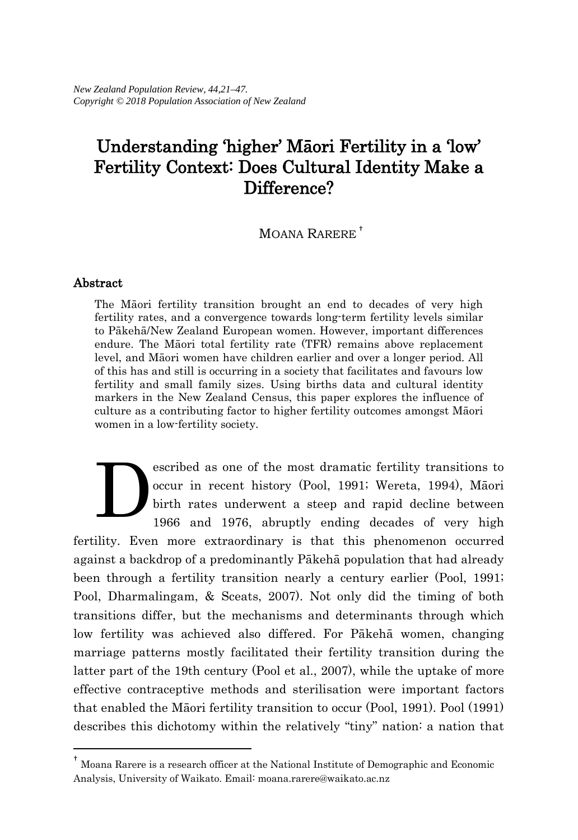# Understanding 'higher' Māori Fertility in a 'low' Fertility Context: Does Cultural Identity Make a Difference?

MOANA RARERE [†](#page-0-0)

### Abstract

 $\overline{a}$ 

The Māori fertility transition brought an end to decades of very high fertility rates, and a convergence towards long-term fertility levels similar to Pākehā/New Zealand European women. However, important differences endure. The Māori total fertility rate (TFR) remains above replacement level, and Māori women have children earlier and over a longer period. All of this has and still is occurring in a society that facilitates and favours low fertility and small family sizes. Using births data and cultural identity markers in the New Zealand Census, this paper explores the influence of culture as a contributing factor to higher fertility outcomes amongst Māori women in a low-fertility society.

escribed as one of the most dramatic fertility transitions to occur in recent history (Pool, 1991; Wereta, 1994), Māori birth rates underwent a steep and rapid decline between 1966 and 1976, abruptly ending decades of very high fertility. Even more extraordinary is that this phenomenon occurred against a backdrop of a predominantly Pākehā population that had already been through a fertility transition nearly a century earlier (Pool, 1991; Pool, Dharmalingam, & Sceats, 2007). Not only did the timing of both transitions differ, but the mechanisms and determinants through which low fertility was achieved also differed. For Pākehā women, changing marriage patterns mostly facilitated their fertility transition during the latter part of the 19th century (Pool et al., 2007), while the uptake of more effective contraceptive methods and sterilisation were important factors that enabled the Māori fertility transition to occur (Pool, 1991). Pool (1991) describes this dichotomy within the relatively "tiny" nation: a nation that D

<span id="page-0-0"></span><sup>†</sup> Moana Rarere is a research officer at the National Institute of Demographic and Economic Analysis, University of Waikato. Email: moana.rarere@waikato.ac.nz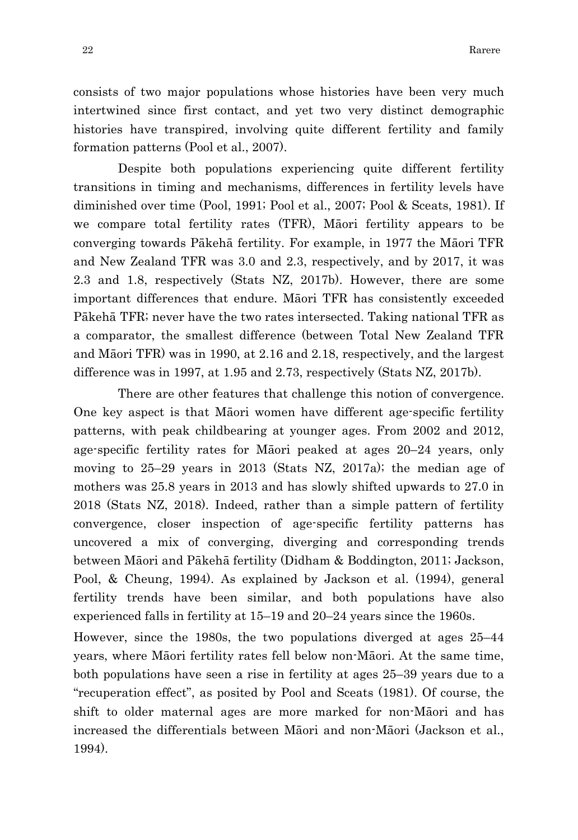consists of two major populations whose histories have been very much intertwined since first contact, and yet two very distinct demographic histories have transpired, involving quite different fertility and family formation patterns (Pool et al., 2007).

Despite both populations experiencing quite different fertility transitions in timing and mechanisms, differences in fertility levels have diminished over time (Pool, 1991; Pool et al., 2007; Pool & Sceats, 1981). If we compare total fertility rates (TFR), Māori fertility appears to be converging towards Pākehā fertility. For example, in 1977 the Māori TFR and New Zealand TFR was 3.0 and 2.3, respectively, and by 2017, it was 2.3 and 1.8, respectively (Stats NZ, 2017b). However, there are some important differences that endure. Māori TFR has consistently exceeded Pākehā TFR; never have the two rates intersected. Taking national TFR as a comparator, the smallest difference (between Total New Zealand TFR and Māori TFR) was in 1990, at 2.16 and 2.18, respectively, and the largest difference was in 1997, at 1.95 and 2.73, respectively (Stats NZ, 2017b).

There are other features that challenge this notion of convergence. One key aspect is that Māori women have different age-specific fertility patterns, with peak childbearing at younger ages. From 2002 and 2012, age-specific fertility rates for Māori peaked at ages 20–24 years, only moving to 25–29 years in 2013 (Stats NZ, 2017a); the median age of mothers was 25.8 years in 2013 and has slowly shifted upwards to 27.0 in 2018 (Stats NZ, 2018). Indeed, rather than a simple pattern of fertility convergence, closer inspection of age-specific fertility patterns has uncovered a mix of converging, diverging and corresponding trends between Māori and Pākehā fertility (Didham & Boddington, 2011; Jackson, Pool, & Cheung, 1994). As explained by Jackson et al. (1994), general fertility trends have been similar, and both populations have also experienced falls in fertility at 15–19 and 20–24 years since the 1960s.

However, since the 1980s, the two populations diverged at ages 25–44 years, where Māori fertility rates fell below non-Māori. At the same time, both populations have seen a rise in fertility at ages 25–39 years due to a "recuperation effect", as posited by Pool and Sceats (1981). Of course, the shift to older maternal ages are more marked for non-Māori and has increased the differentials between Māori and non-Māori (Jackson et al., 1994).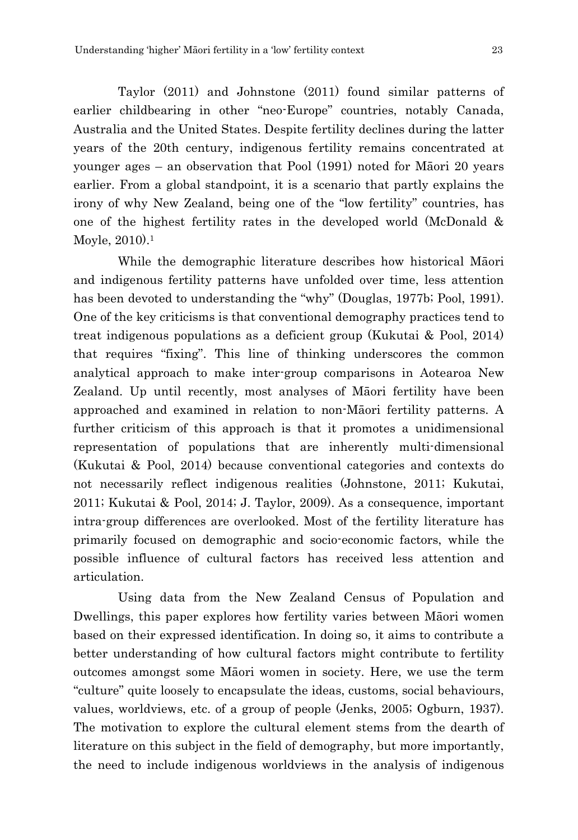Taylor (2011) and Johnstone (2011) found similar patterns of earlier childbearing in other "neo-Europe" countries, notably Canada, Australia and the United States. Despite fertility declines during the latter years of the 20th century, indigenous fertility remains concentrated at younger ages – an observation that Pool (1991) noted for Māori 20 years earlier. From a global standpoint, it is a scenario that partly explains the irony of why New Zealand, being one of the "low fertility" countries, has one of the highest fertility rates in the developed world (McDonald & Moyle, 2010).1

While the demographic literature describes how historical Māori and indigenous fertility patterns have unfolded over time, less attention has been devoted to understanding the "why" (Douglas, 1977b; Pool, 1991). One of the key criticisms is that conventional demography practices tend to treat indigenous populations as a deficient group (Kukutai & Pool, 2014) that requires "fixing". This line of thinking underscores the common analytical approach to make inter-group comparisons in Aotearoa New Zealand. Up until recently, most analyses of Māori fertility have been approached and examined in relation to non-Māori fertility patterns. A further criticism of this approach is that it promotes a unidimensional representation of populations that are inherently multi-dimensional (Kukutai & Pool, 2014) because conventional categories and contexts do not necessarily reflect indigenous realities (Johnstone, 2011; Kukutai, 2011; Kukutai & Pool, 2014; J. Taylor, 2009). As a consequence, important intra-group differences are overlooked. Most of the fertility literature has primarily focused on demographic and socio-economic factors, while the possible influence of cultural factors has received less attention and articulation.

Using data from the New Zealand Census of Population and Dwellings, this paper explores how fertility varies between Māori women based on their expressed identification. In doing so, it aims to contribute a better understanding of how cultural factors might contribute to fertility outcomes amongst some Māori women in society. Here, we use the term "culture" quite loosely to encapsulate the ideas, customs, social behaviours, values, worldviews, etc. of a group of people (Jenks, 2005; Ogburn, 1937). The motivation to explore the cultural element stems from the dearth of literature on this subject in the field of demography, but more importantly, the need to include indigenous worldviews in the analysis of indigenous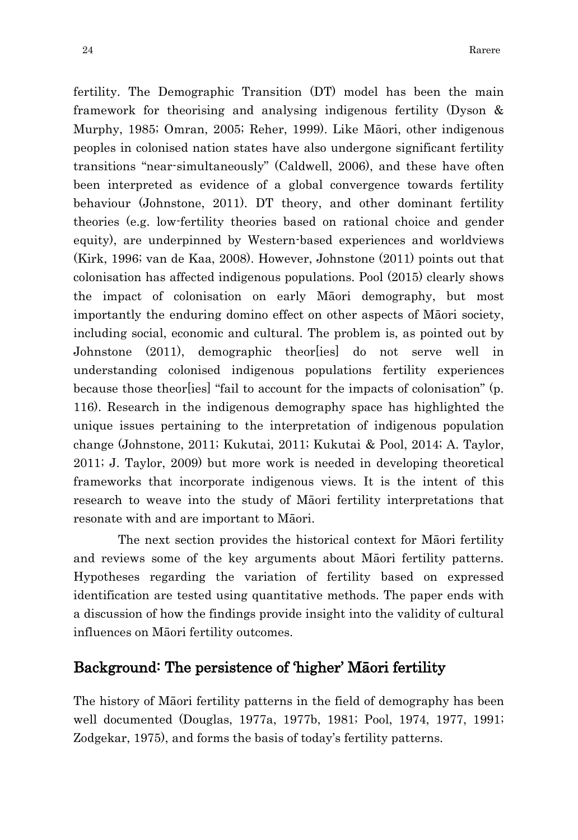fertility. The Demographic Transition (DT) model has been the main framework for theorising and analysing indigenous fertility (Dyson & Murphy, 1985; Omran, 2005; Reher, 1999). Like Māori, other indigenous peoples in colonised nation states have also undergone significant fertility transitions "near-simultaneously" (Caldwell, 2006), and these have often been interpreted as evidence of a global convergence towards fertility behaviour (Johnstone, 2011). DT theory, and other dominant fertility theories (e.g. low-fertility theories based on rational choice and gender equity), are underpinned by Western-based experiences and worldviews (Kirk, 1996; van de Kaa, 2008). However, Johnstone (2011) points out that colonisation has affected indigenous populations. Pool (2015) clearly shows the impact of colonisation on early Māori demography, but most importantly the enduring domino effect on other aspects of Māori society, including social, economic and cultural. The problem is, as pointed out by Johnstone (2011), demographic theor[ies] do not serve well in understanding colonised indigenous populations fertility experiences because those theor[ies] "fail to account for the impacts of colonisation" (p. 116). Research in the indigenous demography space has highlighted the unique issues pertaining to the interpretation of indigenous population change (Johnstone, 2011; Kukutai, 2011; Kukutai & Pool, 2014; A. Taylor, 2011; J. Taylor, 2009) but more work is needed in developing theoretical frameworks that incorporate indigenous views. It is the intent of this research to weave into the study of Māori fertility interpretations that resonate with and are important to Māori.

The next section provides the historical context for Māori fertility and reviews some of the key arguments about Māori fertility patterns. Hypotheses regarding the variation of fertility based on expressed identification are tested using quantitative methods. The paper ends with a discussion of how the findings provide insight into the validity of cultural influences on Māori fertility outcomes.

## Background: The persistence of 'higher' Māori fertility

The history of Māori fertility patterns in the field of demography has been well documented (Douglas, 1977a, 1977b, 1981; Pool, 1974, 1977, 1991; Zodgekar, 1975), and forms the basis of today's fertility patterns.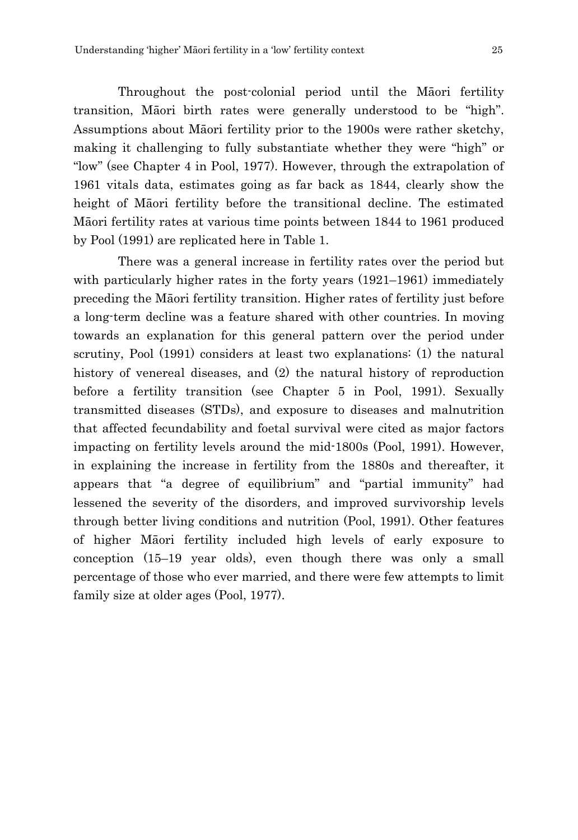Throughout the post-colonial period until the Māori fertility transition, Māori birth rates were generally understood to be "high". Assumptions about Māori fertility prior to the 1900s were rather sketchy, making it challenging to fully substantiate whether they were "high" or "low" (see Chapter 4 in Pool, 1977). However, through the extrapolation of 1961 vitals data, estimates going as far back as 1844, clearly show the height of Māori fertility before the transitional decline. The estimated Māori fertility rates at various time points between 1844 to 1961 produced by Pool (1991) are replicated here in Table 1.

There was a general increase in fertility rates over the period but with particularly higher rates in the forty years (1921–1961) immediately preceding the Māori fertility transition. Higher rates of fertility just before a long-term decline was a feature shared with other countries. In moving towards an explanation for this general pattern over the period under scrutiny, Pool (1991) considers at least two explanations: (1) the natural history of venereal diseases, and (2) the natural history of reproduction before a fertility transition (see Chapter 5 in Pool, 1991). Sexually transmitted diseases (STDs), and exposure to diseases and malnutrition that affected fecundability and foetal survival were cited as major factors impacting on fertility levels around the mid-1800s (Pool, 1991). However, in explaining the increase in fertility from the 1880s and thereafter, it appears that "a degree of equilibrium" and "partial immunity" had lessened the severity of the disorders, and improved survivorship levels through better living conditions and nutrition (Pool, 1991). Other features of higher Māori fertility included high levels of early exposure to conception (15–19 year olds), even though there was only a small percentage of those who ever married, and there were few attempts to limit family size at older ages (Pool, 1977).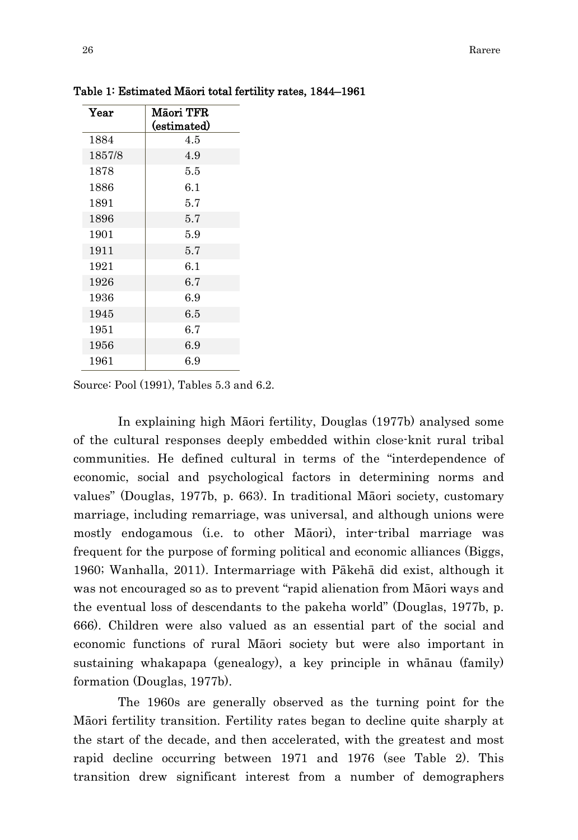| Year   | <b>Maori TFR</b> |  |
|--------|------------------|--|
|        | (estimated)      |  |
| 1884   | 4.5              |  |
| 1857/8 | 4.9              |  |
| 1878   | 5.5              |  |
| 1886   | 6.1              |  |
| 1891   | 5.7              |  |
| 1896   | 5.7              |  |
| 1901   | 5.9              |  |
| 1911   | 5.7              |  |
| 1921   | 6.1              |  |
| 1926   | 6.7              |  |
| 1936   | 6.9              |  |
| 1945   | 6.5              |  |
| 1951   | 6.7              |  |
| 1956   | 6.9              |  |
| 1961   | 6.9              |  |

Table 1: Estimated Māori total fertility rates, 1844–1961

Source: Pool (1991), Tables 5.3 and 6.2.

In explaining high Māori fertility, Douglas (1977b) analysed some of the cultural responses deeply embedded within close-knit rural tribal communities. He defined cultural in terms of the "interdependence of economic, social and psychological factors in determining norms and values" (Douglas, 1977b, p. 663). In traditional Māori society, customary marriage, including remarriage, was universal, and although unions were mostly endogamous (i.e. to other Māori), inter-tribal marriage was frequent for the purpose of forming political and economic alliances (Biggs, 1960; Wanhalla, 2011). Intermarriage with Pākehā did exist, although it was not encouraged so as to prevent "rapid alienation from Māori ways and the eventual loss of descendants to the pakeha world" (Douglas, 1977b, p. 666). Children were also valued as an essential part of the social and economic functions of rural Māori society but were also important in sustaining whakapapa (genealogy), a key principle in whānau (family) formation (Douglas, 1977b).

The 1960s are generally observed as the turning point for the Māori fertility transition. Fertility rates began to decline quite sharply at the start of the decade, and then accelerated, with the greatest and most rapid decline occurring between 1971 and 1976 (see Table 2). This transition drew significant interest from a number of demographers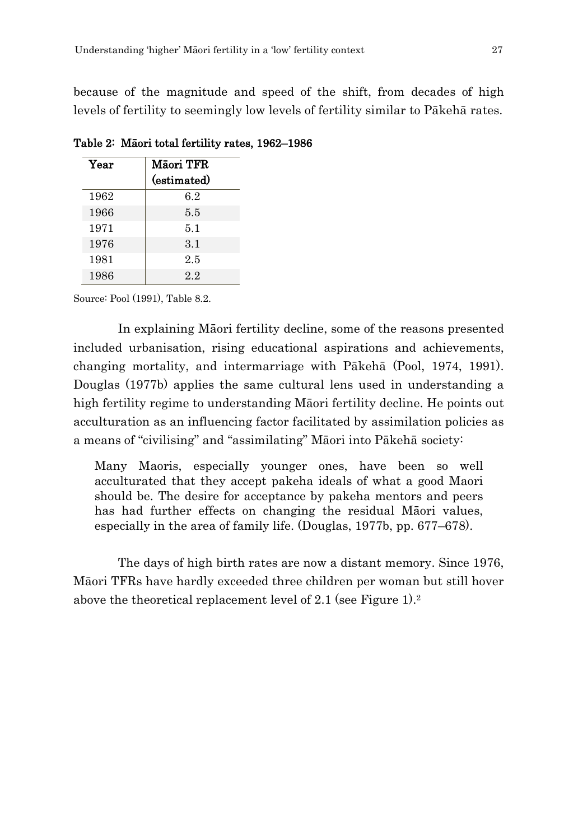because of the magnitude and speed of the shift, from decades of high levels of fertility to seemingly low levels of fertility similar to Pākehā rates.

| Year | <b>Maori TFR</b><br>(estimated) |  |
|------|---------------------------------|--|
| 1962 | 6.2                             |  |
| 1966 | 5.5                             |  |
| 1971 | 5.1                             |  |
| 1976 | 3.1                             |  |
| 1981 | 2.5                             |  |
| 1986 | 2.2                             |  |

Table 2: Māori total fertility rates, 1962–1986

Source: Pool (1991), Table 8.2.

In explaining Māori fertility decline, some of the reasons presented included urbanisation, rising educational aspirations and achievements, changing mortality, and intermarriage with Pākehā (Pool, 1974, 1991). Douglas (1977b) applies the same cultural lens used in understanding a high fertility regime to understanding Māori fertility decline. He points out acculturation as an influencing factor facilitated by assimilation policies as a means of "civilising" and "assimilating" Māori into Pākehā society:

Many Maoris, especially younger ones, have been so well acculturated that they accept pakeha ideals of what a good Maori should be. The desire for acceptance by pakeha mentors and peers has had further effects on changing the residual Māori values, especially in the area of family life. (Douglas, 1977b, pp. 677–678).

The days of high birth rates are now a distant memory. Since 1976, Māori TFRs have hardly exceeded three children per woman but still hover above the theoretical replacement level of 2.1 (see Figure 1).2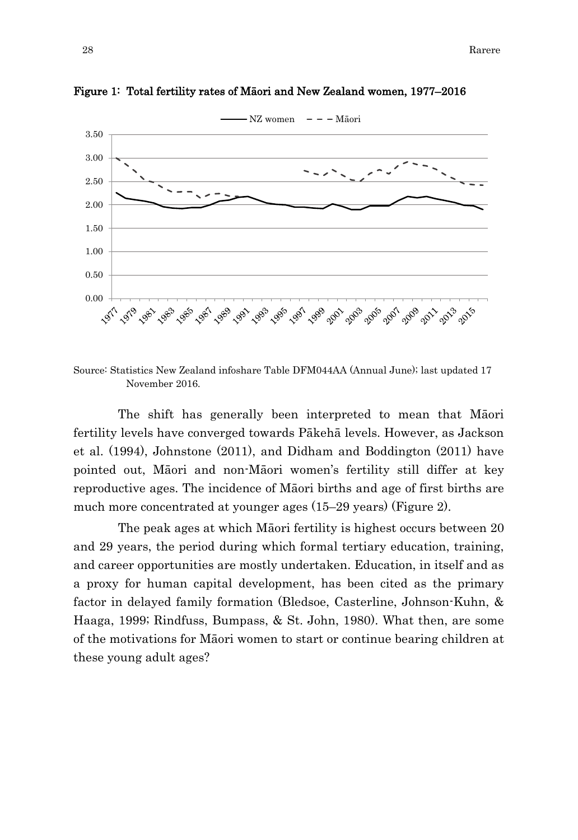

Figure 1: Total fertility rates of Māori and New Zealand women, 1977–2016

Source: Statistics New Zealand infoshare Table DFM044AA (Annual June); last updated 17 November 2016.

The shift has generally been interpreted to mean that Māori fertility levels have converged towards Pākehā levels. However, as Jackson et al. (1994), Johnstone (2011), and Didham and Boddington (2011) have pointed out, Māori and non-Māori women's fertility still differ at key reproductive ages. The incidence of Māori births and age of first births are much more concentrated at younger ages (15–29 years) (Figure 2).

The peak ages at which Māori fertility is highest occurs between 20 and 29 years, the period during which formal tertiary education, training, and career opportunities are mostly undertaken. Education, in itself and as a proxy for human capital development, has been cited as the primary factor in delayed family formation (Bledsoe, Casterline, Johnson-Kuhn, & Haaga, 1999; Rindfuss, Bumpass, & St. John, 1980). What then, are some of the motivations for Māori women to start or continue bearing children at these young adult ages?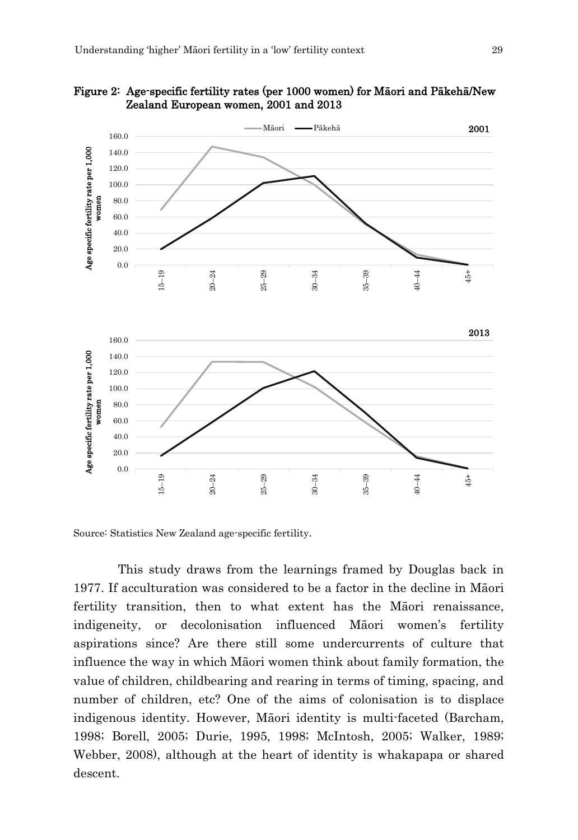

Figure 2: Age-specific fertility rates (per 1000 women) for Māori and Pākehā/New Zealand European women, 2001 and 2013

Source: Statistics New Zealand age-specific fertility.

This study draws from the learnings framed by Douglas back in 1977. If acculturation was considered to be a factor in the decline in Māori fertility transition, then to what extent has the Māori renaissance, indigeneity, or decolonisation influenced Māori women's fertility aspirations since? Are there still some undercurrents of culture that influence the way in which Māori women think about family formation, the value of children, childbearing and rearing in terms of timing, spacing, and number of children, etc? One of the aims of colonisation is to displace indigenous identity. However, Māori identity is multi-faceted (Barcham, 1998; Borell, 2005; Durie, 1995, 1998; McIntosh, 2005; Walker, 1989; Webber, 2008), although at the heart of identity is whakapapa or shared descent.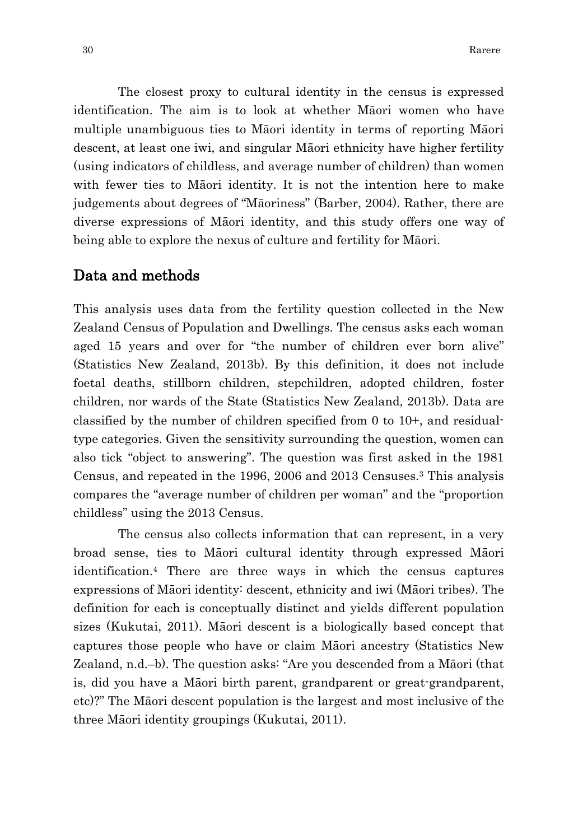The closest proxy to cultural identity in the census is expressed identification. The aim is to look at whether Māori women who have multiple unambiguous ties to Māori identity in terms of reporting Māori descent, at least one iwi, and singular Māori ethnicity have higher fertility (using indicators of childless, and average number of children) than women with fewer ties to Māori identity. It is not the intention here to make judgements about degrees of "Māoriness" (Barber, 2004). Rather, there are diverse expressions of Māori identity, and this study offers one way of being able to explore the nexus of culture and fertility for Māori.

### Data and methods

This analysis uses data from the fertility question collected in the New Zealand Census of Population and Dwellings. The census asks each woman aged 15 years and over for "the number of children ever born alive" (Statistics New Zealand, 2013b). By this definition, it does not include foetal deaths, stillborn children, stepchildren, adopted children, foster children, nor wards of the State (Statistics New Zealand, 2013b). Data are classified by the number of children specified from 0 to 10+, and residualtype categories. Given the sensitivity surrounding the question, women can also tick "object to answering". The question was first asked in the 1981 Census, and repeated in the 1996, 2006 and 2013 Censuses.3 This analysis compares the "average number of children per woman" and the "proportion childless" using the 2013 Census.

The census also collects information that can represent, in a very broad sense, ties to Māori cultural identity through expressed Māori identification.4 There are three ways in which the census captures expressions of Māori identity: descent, ethnicity and iwi (Māori tribes). The definition for each is conceptually distinct and yields different population sizes (Kukutai, 2011). Māori descent is a biologically based concept that captures those people who have or claim Māori ancestry (Statistics New Zealand, n.d.–b). The question asks: "Are you descended from a Māori (that is, did you have a Māori birth parent, grandparent or great-grandparent, etc)?" The Māori descent population is the largest and most inclusive of the three Māori identity groupings (Kukutai, 2011).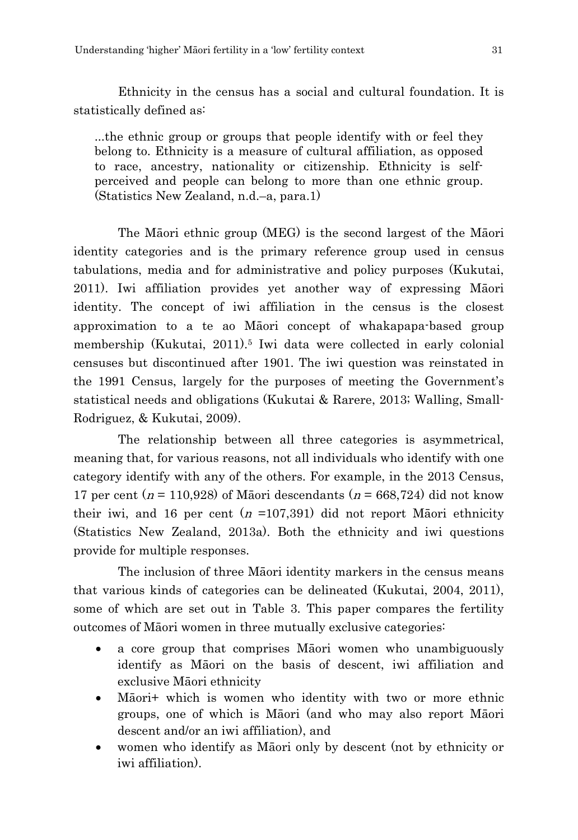Ethnicity in the census has a social and cultural foundation. It is statistically defined as:

...the ethnic group or groups that people identify with or feel they belong to. Ethnicity is a measure of cultural affiliation, as opposed to race, ancestry, nationality or citizenship. Ethnicity is selfperceived and people can belong to more than one ethnic group. (Statistics New Zealand, n.d.–a, para.1)

The Māori ethnic group (MEG) is the second largest of the Māori identity categories and is the primary reference group used in census tabulations, media and for administrative and policy purposes (Kukutai, 2011). Iwi affiliation provides yet another way of expressing Māori identity. The concept of iwi affiliation in the census is the closest approximation to a te ao Māori concept of whakapapa-based group membership (Kukutai, 2011).5 Iwi data were collected in early colonial censuses but discontinued after 1901. The iwi question was reinstated in the 1991 Census, largely for the purposes of meeting the Government's statistical needs and obligations (Kukutai & Rarere, 2013; Walling, Small-Rodriguez, & Kukutai, 2009).

The relationship between all three categories is asymmetrical, meaning that, for various reasons, not all individuals who identify with one category identify with any of the others. For example, in the 2013 Census, 17 per cent ( $n = 110,928$ ) of Māori descendants ( $n = 668,724$ ) did not know their iwi, and 16 per cent  $(n = 107,391)$  did not report Masori ethnicity (Statistics New Zealand, 2013a). Both the ethnicity and iwi questions provide for multiple responses.

The inclusion of three Māori identity markers in the census means that various kinds of categories can be delineated (Kukutai, 2004, 2011), some of which are set out in Table 3. This paper compares the fertility outcomes of Māori women in three mutually exclusive categories:

- a core group that comprises Māori women who unambiguously identify as Māori on the basis of descent, iwi affiliation and exclusive Māori ethnicity
- Māori+ which is women who identity with two or more ethnic groups, one of which is Māori (and who may also report Māori descent and/or an iwi affiliation), and
- women who identify as Māori only by descent (not by ethnicity or iwi affiliation).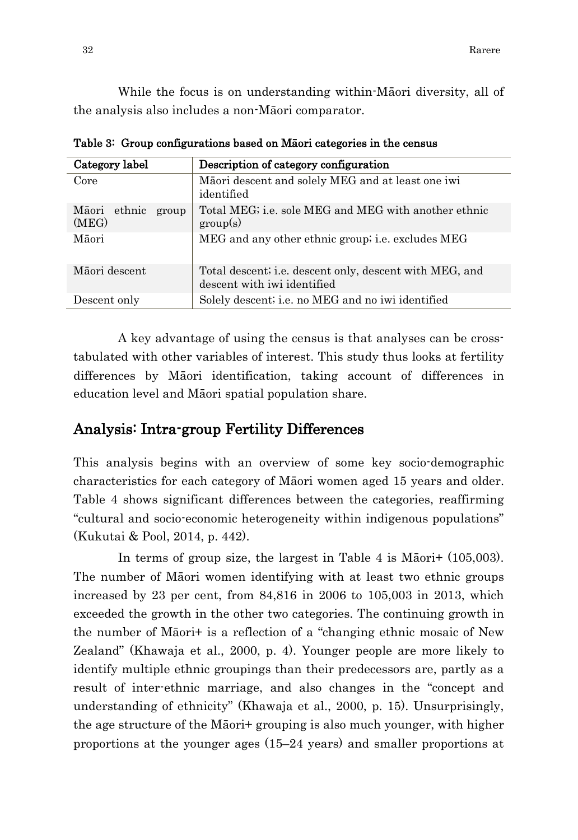While the focus is on understanding within-Māori diversity, all of the analysis also includes a non-Māori comparator.

| Category label                 | Description of category configuration                                                  |
|--------------------------------|----------------------------------------------------------------------------------------|
| Core                           | Māori descent and solely MEG and at least one iwi<br>identified                        |
| Māori ethnic<br>group<br>(MEG) | Total MEG; i.e. sole MEG and MEG with another ethnic<br>group(s)                       |
| Māori                          | MEG and any other ethnic group, <i>i.e.</i> excludes MEG                               |
| Māori descent                  | Total descent; i.e. descent only, descent with MEG, and<br>descent with iwi identified |
| Descent only                   | Solely descent; i.e. no MEG and no iwi identified                                      |

Table 3: Group configurations based on Māori categories in the census

A key advantage of using the census is that analyses can be crosstabulated with other variables of interest. This study thus looks at fertility differences by Māori identification, taking account of differences in education level and Māori spatial population share.

## Analysis: Intra-group Fertility Differences

This analysis begins with an overview of some key socio-demographic characteristics for each category of Māori women aged 15 years and older. Table 4 shows significant differences between the categories, reaffirming "cultural and socio-economic heterogeneity within indigenous populations" (Kukutai & Pool, 2014, p. 442).

In terms of group size, the largest in Table 4 is Māori+ (105,003). The number of Māori women identifying with at least two ethnic groups increased by 23 per cent, from 84,816 in 2006 to 105,003 in 2013, which exceeded the growth in the other two categories. The continuing growth in the number of Māori+ is a reflection of a "changing ethnic mosaic of New Zealand" (Khawaja et al., 2000, p. 4). Younger people are more likely to identify multiple ethnic groupings than their predecessors are, partly as a result of inter-ethnic marriage, and also changes in the "concept and understanding of ethnicity" (Khawaja et al., 2000, p. 15). Unsurprisingly, the age structure of the Māori+ grouping is also much younger, with higher proportions at the younger ages (15–24 years) and smaller proportions at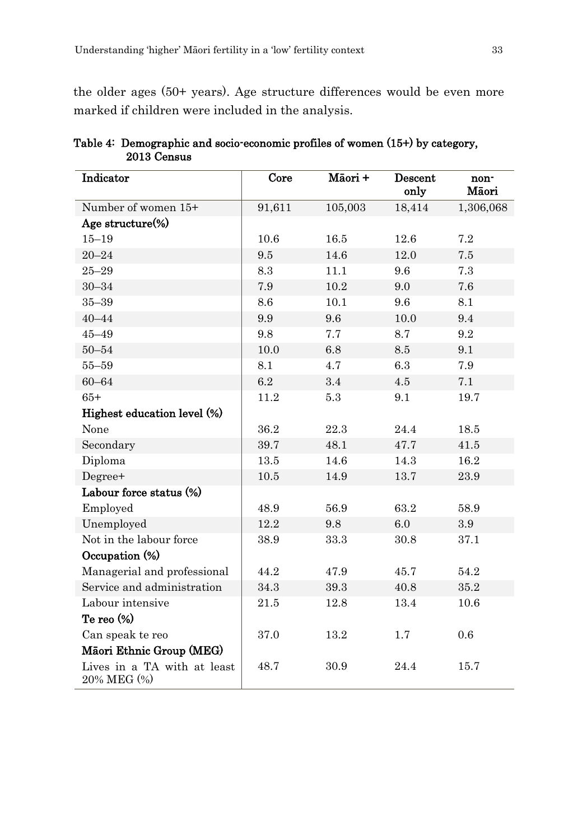the older ages (50+ years). Age structure differences would be even more marked if children were included in the analysis.

| Indicator                                  | Core   | Māori + | Descent<br>only | non-<br>Māori |
|--------------------------------------------|--------|---------|-----------------|---------------|
| Number of women 15+                        | 91,611 | 105,003 | 18,414          | 1,306,068     |
| Age structure(%)                           |        |         |                 |               |
| $15 - 19$                                  | 10.6   | 16.5    | 12.6            | 7.2           |
| $20 - 24$                                  | 9.5    | 14.6    | 12.0            | 7.5           |
| $25 - 29$                                  | 8.3    | 11.1    | 9.6             | 7.3           |
| $30 - 34$                                  | 7.9    | 10.2    | 9.0             | 7.6           |
| $35 - 39$                                  | 8.6    | 10.1    | 9.6             | 8.1           |
| $40 - 44$                                  | 9.9    | 9.6     | 10.0            | 9.4           |
| $45 - 49$                                  | 9.8    | 7.7     | 8.7             | 9.2           |
| $50 - 54$                                  | 10.0   | 6.8     | 8.5             | 9.1           |
| $55 - 59$                                  | 8.1    | 4.7     | 6.3             | 7.9           |
| $60 - 64$                                  | 6.2    | 3.4     | 4.5             | 7.1           |
| $65+$                                      | 11.2   | 5.3     | 9.1             | 19.7          |
| Highest education level (%)                |        |         |                 |               |
| None                                       | 36.2   | 22.3    | 24.4            | 18.5          |
| Secondary                                  | 39.7   | 48.1    | 47.7            | 41.5          |
| Diploma                                    | 13.5   | 14.6    | 14.3            | 16.2          |
| Degree+                                    | 10.5   | 14.9    | 13.7            | 23.9          |
| Labour force status (%)                    |        |         |                 |               |
| Employed                                   | 48.9   | 56.9    | 63.2            | 58.9          |
| Unemployed                                 | 12.2   | 9.8     | 6.0             | 3.9           |
| Not in the labour force                    | 38.9   | 33.3    | 30.8            | 37.1          |
| Occupation (%)                             |        |         |                 |               |
| Managerial and professional                | 44.2   | 47.9    | 45.7            | 54.2          |
| Service and administration                 | 34.3   | 39.3    | 40.8            | 35.2          |
| Labour intensive                           | 21.5   | 12.8    | 13.4            | 10.6          |
| Te reo (%)                                 |        |         |                 |               |
| Can speak te reo                           | 37.0   | 13.2    | 1.7             | 0.6           |
| Māori Ethnic Group (MEG)                   |        |         |                 |               |
| Lives in a TA with at least<br>20% MEG (%) | 48.7   | 30.9    | 24.4            | 15.7          |

| Table 4: Demographic and socio-economic profiles of women (15+) by category, |  |
|------------------------------------------------------------------------------|--|
| 2013 Census                                                                  |  |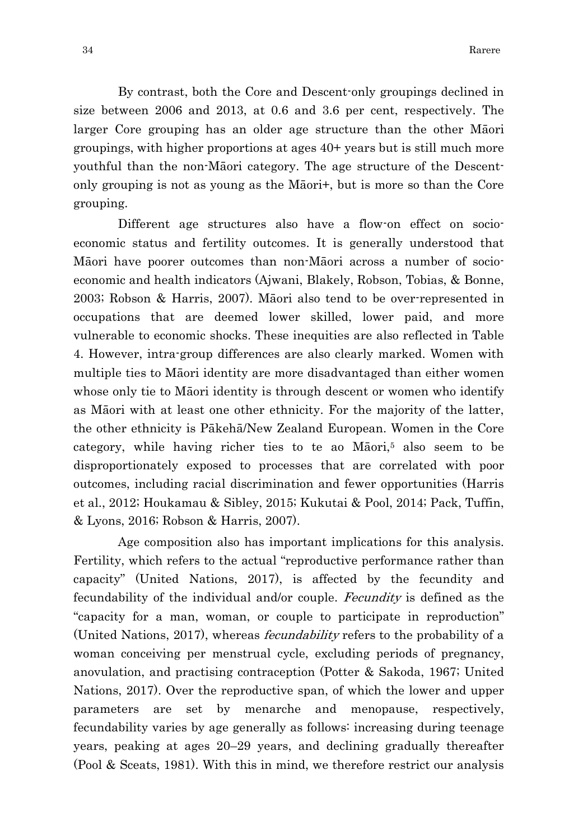By contrast, both the Core and Descent-only groupings declined in size between 2006 and 2013, at 0.6 and 3.6 per cent, respectively. The larger Core grouping has an older age structure than the other Māori groupings, with higher proportions at ages 40+ years but is still much more youthful than the non-Māori category. The age structure of the Descentonly grouping is not as young as the Māori+, but is more so than the Core grouping.

Different age structures also have a flow-on effect on socioeconomic status and fertility outcomes. It is generally understood that Māori have poorer outcomes than non-Māori across a number of socioeconomic and health indicators (Ajwani, Blakely, Robson, Tobias, & Bonne, 2003; Robson & Harris, 2007). Māori also tend to be over-represented in occupations that are deemed lower skilled, lower paid, and more vulnerable to economic shocks. These inequities are also reflected in Table 4. However, intra-group differences are also clearly marked. Women with multiple ties to Māori identity are more disadvantaged than either women whose only tie to Māori identity is through descent or women who identify as Māori with at least one other ethnicity. For the majority of the latter, the other ethnicity is Pākehā/New Zealand European. Women in the Core category, while having richer ties to te ao  $M\bar{a}$ ori,<sup>5</sup> also seem to be disproportionately exposed to processes that are correlated with poor outcomes, including racial discrimination and fewer opportunities (Harris et al., 2012; Houkamau & Sibley, 2015; Kukutai & Pool, 2014; Pack, Tuffin, & Lyons, 2016; Robson & Harris, 2007).

Age composition also has important implications for this analysis. Fertility, which refers to the actual "reproductive performance rather than capacity" (United Nations, 2017), is affected by the fecundity and fecundability of the individual and/or couple. Fecundity is defined as the "capacity for a man, woman, or couple to participate in reproduction" (United Nations, 2017), whereas fecundability refers to the probability of a woman conceiving per menstrual cycle, excluding periods of pregnancy, anovulation, and practising contraception (Potter & Sakoda, 1967; United Nations, 2017). Over the reproductive span, of which the lower and upper parameters are set by menarche and menopause, respectively, fecundability varies by age generally as follows: increasing during teenage years, peaking at ages 20–29 years, and declining gradually thereafter (Pool & Sceats, 1981). With this in mind, we therefore restrict our analysis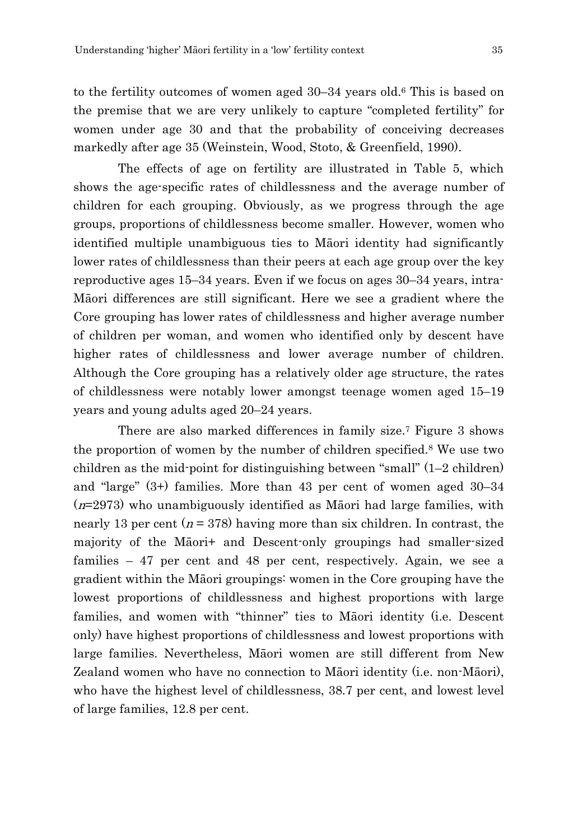to the fertility outcomes of women aged 30–34 years old.6 This is based on the premise that we are very unlikely to capture "completed fertility" for women under age 30 and that the probability of conceiving decreases markedly after age 35 (Weinstein, Wood, Stoto, & Greenfield, 1990).

The effects of age on fertility are illustrated in Table 5, which shows the age-specific rates of childlessness and the average number of children for each grouping. Obviously, as we progress through the age groups, proportions of childlessness become smaller. However, women who identified multiple unambiguous ties to Māori identity had significantly lower rates of childlessness than their peers at each age group over the key reproductive ages 15–34 years. Even if we focus on ages 30–34 years, intra-Māori differences are still significant. Here we see a gradient where the Core grouping has lower rates of childlessness and higher average number of children per woman, and women who identified only by descent have higher rates of childlessness and lower average number of children. Although the Core grouping has a relatively older age structure, the rates of childlessness were notably lower amongst teenage women aged 15–19 years and young adults aged 20–24 years.

There are also marked differences in family size.7 Figure 3 shows the proportion of women by the number of children specified.8 We use two children as the mid-point for distinguishing between "small"  $(1-2 \text{ children})$ and "large" (3+) families. More than 43 per cent of women aged 30–34  $(n=2973)$  who unambiguously identified as Māori had large families, with nearly 13 per cent ( $n = 378$ ) having more than six children. In contrast, the majority of the Māori+ and Descent-only groupings had smaller-sized families – 47 per cent and 48 per cent, respectively. Again, we see a gradient within the Māori groupings: women in the Core grouping have the lowest proportions of childlessness and highest proportions with large families, and women with "thinner" ties to Māori identity (i.e. Descent only) have highest proportions of childlessness and lowest proportions with large families. Nevertheless, Māori women are still different from New Zealand women who have no connection to Māori identity (i.e. non-Māori), who have the highest level of childlessness, 38.7 per cent, and lowest level of large families, 12.8 per cent.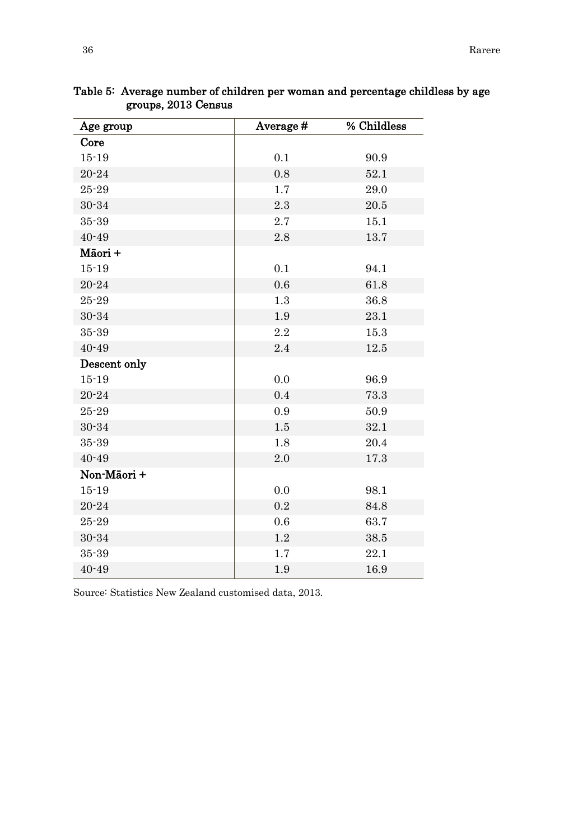| Age group    | Average# | % Childless |
|--------------|----------|-------------|
| Core         |          |             |
| $15 - 19$    | 0.1      | 90.9        |
| $20 - 24$    | 0.8      | 52.1        |
| $25 - 29$    | 1.7      | 29.0        |
| $30 - 34$    | 2.3      | 20.5        |
| 35-39        | 2.7      | 15.1        |
| $40 - 49$    | 2.8      | 13.7        |
| Māori +      |          |             |
| $15 - 19$    | 0.1      | 94.1        |
| $20 - 24$    | 0.6      | 61.8        |
| $25 - 29$    | 1.3      | 36.8        |
| $30 - 34$    | 1.9      | 23.1        |
| $35 - 39$    | 2.2      | 15.3        |
| $40 - 49$    | 2.4      | 12.5        |
| Descent only |          |             |
| $15 - 19$    | 0.0      | 96.9        |
| $20 - 24$    | 0.4      | 73.3        |
| $25 - 29$    | 0.9      | 50.9        |
| $30 - 34$    | 1.5      | 32.1        |
| $35 - 39$    | 1.8      | 20.4        |
| $40 - 49$    | 2.0      | 17.3        |
| Non-Māori +  |          |             |
| $15 - 19$    | 0.0      | 98.1        |
| $20 - 24$    | 0.2      | 84.8        |
| $25 - 29$    | 0.6      | 63.7        |
| $30 - 34$    | $1.2\,$  | 38.5        |
| $35 - 39$    | 1.7      | 22.1        |
| $40 - 49$    | 1.9      | 16.9        |

Table 5: Average number of children per woman and percentage childless by age groups, 2013 Census

Source: Statistics New Zealand customised data, 2013.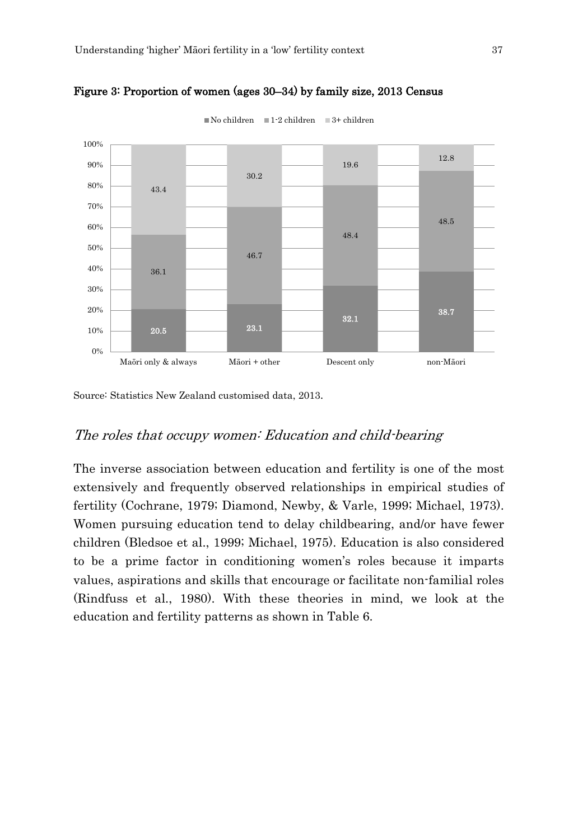

Figure 3: Proportion of women (ages 30–34) by family size, 2013 Census

Source: Statistics New Zealand customised data, 2013.

#### The roles that occupy women: Education and child-bearing

The inverse association between education and fertility is one of the most extensively and frequently observed relationships in empirical studies of fertility (Cochrane, 1979; Diamond, Newby, & Varle, 1999; Michael, 1973). Women pursuing education tend to delay childbearing, and/or have fewer children (Bledsoe et al., 1999; Michael, 1975). Education is also considered to be a prime factor in conditioning women's roles because it imparts values, aspirations and skills that encourage or facilitate non-familial roles (Rindfuss et al., 1980). With these theories in mind, we look at the education and fertility patterns as shown in Table 6.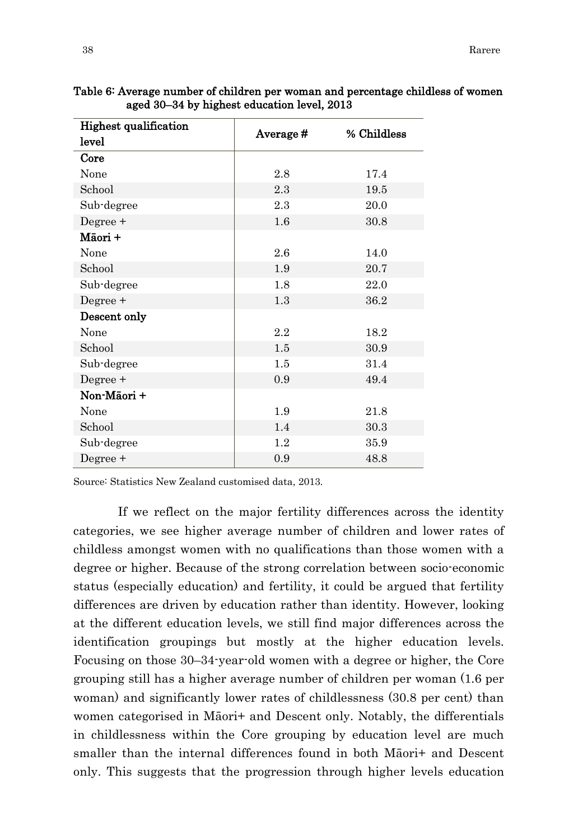| . <u>.</u>                   |          |             |  |
|------------------------------|----------|-------------|--|
| <b>Highest qualification</b> | Average# | % Childless |  |
| level                        |          |             |  |
| Core                         |          |             |  |
| None                         | 2.8      | 17.4        |  |
| School                       | 2.3      | 19.5        |  |
| Sub-degree                   | 2.3      | 20.0        |  |
| Degree +                     | 1.6      | 30.8        |  |
| Māori +                      |          |             |  |
| None                         | 2.6      | 14.0        |  |
| School                       | 1.9      | 20.7        |  |
| Sub-degree                   | 1.8      | 22.0        |  |
| Degree +                     | 1.3      | 36.2        |  |
| Descent only                 |          |             |  |
| None                         | $2.2\,$  | 18.2        |  |
| School                       | 1.5      | 30.9        |  |
| Sub-degree                   | 1.5      | 31.4        |  |
| Degree +                     | 0.9      | 49.4        |  |
| Non-Māori +                  |          |             |  |
| None                         | 1.9      | 21.8        |  |
| School                       | 1.4      | 30.3        |  |
| Sub-degree                   | 1.2      | 35.9        |  |
| Degree +                     | 0.9      | 48.8        |  |

Table 6: Average number of children per woman and percentage childless of women aged 30–34 by highest education level, 2013

Source: Statistics New Zealand customised data, 2013.

If we reflect on the major fertility differences across the identity categories, we see higher average number of children and lower rates of childless amongst women with no qualifications than those women with a degree or higher. Because of the strong correlation between socio-economic status (especially education) and fertility, it could be argued that fertility differences are driven by education rather than identity. However, looking at the different education levels, we still find major differences across the identification groupings but mostly at the higher education levels. Focusing on those 30–34-year-old women with a degree or higher, the Core grouping still has a higher average number of children per woman (1.6 per woman) and significantly lower rates of childlessness (30.8 per cent) than women categorised in Māori+ and Descent only. Notably, the differentials in childlessness within the Core grouping by education level are much smaller than the internal differences found in both Māori+ and Descent only. This suggests that the progression through higher levels education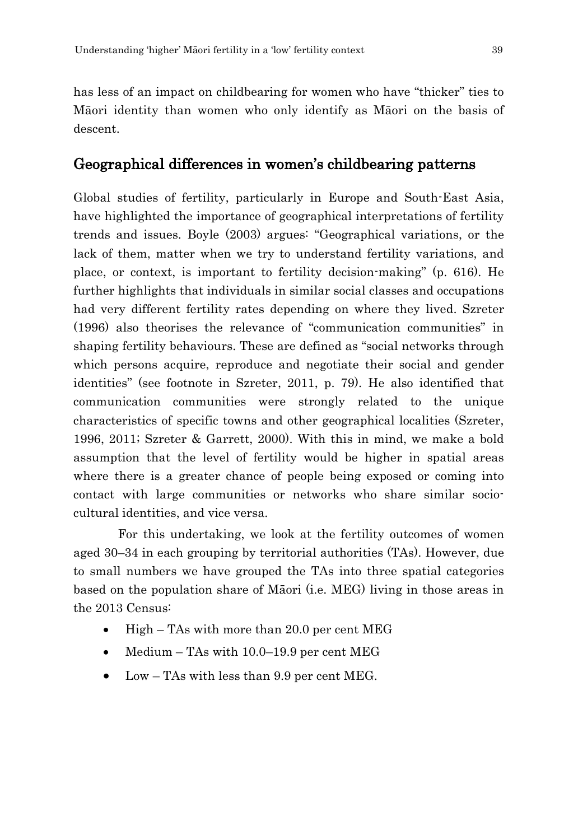has less of an impact on childbearing for women who have "thicker" ties to Māori identity than women who only identify as Māori on the basis of descent.

## Geographical differences in women's childbearing patterns

Global studies of fertility, particularly in Europe and South-East Asia, have highlighted the importance of geographical interpretations of fertility trends and issues. Boyle (2003) argues: "Geographical variations, or the lack of them, matter when we try to understand fertility variations, and place, or context, is important to fertility decision-making" (p. 616). He further highlights that individuals in similar social classes and occupations had very different fertility rates depending on where they lived. Szreter (1996) also theorises the relevance of "communication communities" in shaping fertility behaviours. These are defined as "social networks through which persons acquire, reproduce and negotiate their social and gender identities" (see footnote in Szreter, 2011, p. 79). He also identified that communication communities were strongly related to the unique characteristics of specific towns and other geographical localities (Szreter, 1996, 2011; Szreter & Garrett, 2000). With this in mind, we make a bold assumption that the level of fertility would be higher in spatial areas where there is a greater chance of people being exposed or coming into contact with large communities or networks who share similar sociocultural identities, and vice versa.

For this undertaking, we look at the fertility outcomes of women aged 30–34 in each grouping by territorial authorities (TAs). However, due to small numbers we have grouped the TAs into three spatial categories based on the population share of Māori (i.e. MEG) living in those areas in the 2013 Census:

- High TAs with more than 20.0 per cent MEG
- $Median TAs with 10.0-19.9 per cent MEG$
- Low TAs with less than 9.9 per cent MEG.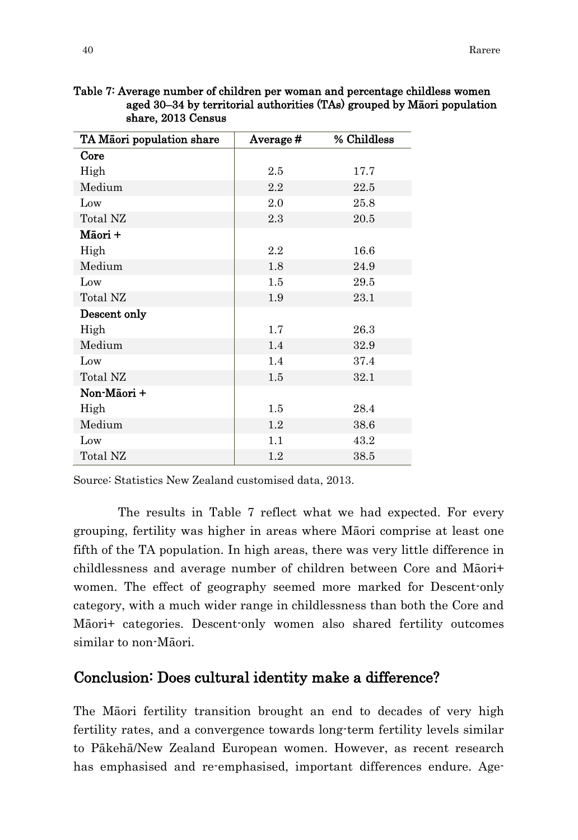| TA Māori population share | Average# | % Childless |
|---------------------------|----------|-------------|
| Core                      |          |             |
| High                      | 2.5      | 17.7        |
| Medium                    | 2.2      | 22.5        |
| Low                       | 2.0      | 25.8        |
| Total NZ                  | 2.3      | 20.5        |
| Māori +                   |          |             |
| High                      | 2.2      | 16.6        |
| Medium                    | 1.8      | 24.9        |
| Low                       | 1.5      | 29.5        |
| Total NZ                  | 1.9      | 23.1        |
| Descent only              |          |             |
| High                      | 1.7      | 26.3        |
| Medium                    | 1.4      | 32.9        |
| Low                       | 1.4      | 37.4        |
| Total NZ                  | 1.5      | 32.1        |
| Non-Māori +               |          |             |
| High                      | 1.5      | 28.4        |
| Medium                    | 1.2      | 38.6        |
| Low                       | 1.1      | 43.2        |
| Total NZ                  | 1.2      | 38.5        |

Table 7: Average number of children per woman and percentage childless women aged 30–34 by territorial authorities (TAs) grouped by Māori population share, 2013 Census

Source: Statistics New Zealand customised data, 2013.

The results in Table 7 reflect what we had expected. For every grouping, fertility was higher in areas where Māori comprise at least one fifth of the TA population. In high areas, there was very little difference in childlessness and average number of children between Core and Māori+ women. The effect of geography seemed more marked for Descent-only category, with a much wider range in childlessness than both the Core and Māori+ categories. Descent-only women also shared fertility outcomes similar to non-Māori.

## Conclusion: Does cultural identity make a difference?

The Māori fertility transition brought an end to decades of very high fertility rates, and a convergence towards long-term fertility levels similar to Pākehā/New Zealand European women. However, as recent research has emphasised and re-emphasised, important differences endure. Age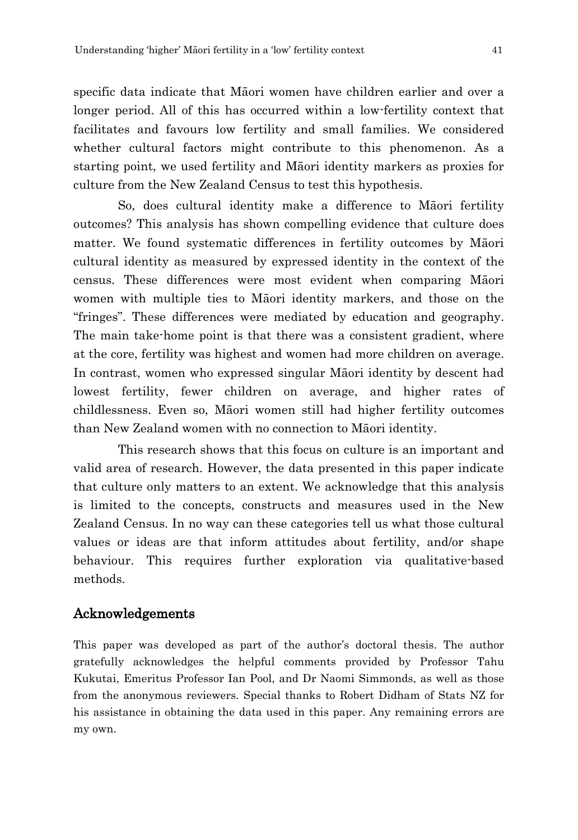specific data indicate that Māori women have children earlier and over a longer period. All of this has occurred within a low-fertility context that facilitates and favours low fertility and small families. We considered whether cultural factors might contribute to this phenomenon. As a starting point, we used fertility and Māori identity markers as proxies for culture from the New Zealand Census to test this hypothesis.

So, does cultural identity make a difference to Māori fertility outcomes? This analysis has shown compelling evidence that culture does matter. We found systematic differences in fertility outcomes by Māori cultural identity as measured by expressed identity in the context of the census. These differences were most evident when comparing Māori women with multiple ties to Māori identity markers, and those on the "fringes". These differences were mediated by education and geography. The main take-home point is that there was a consistent gradient, where at the core, fertility was highest and women had more children on average. In contrast, women who expressed singular Māori identity by descent had lowest fertility, fewer children on average, and higher rates of childlessness. Even so, Māori women still had higher fertility outcomes than New Zealand women with no connection to Māori identity.

This research shows that this focus on culture is an important and valid area of research. However, the data presented in this paper indicate that culture only matters to an extent. We acknowledge that this analysis is limited to the concepts, constructs and measures used in the New Zealand Census. In no way can these categories tell us what those cultural values or ideas are that inform attitudes about fertility, and/or shape behaviour. This requires further exploration via qualitative-based methods.

#### Acknowledgements

This paper was developed as part of the author's doctoral thesis. The author gratefully acknowledges the helpful comments provided by Professor Tahu Kukutai, Emeritus Professor Ian Pool, and Dr Naomi Simmonds, as well as those from the anonymous reviewers. Special thanks to Robert Didham of Stats NZ for his assistance in obtaining the data used in this paper. Any remaining errors are my own.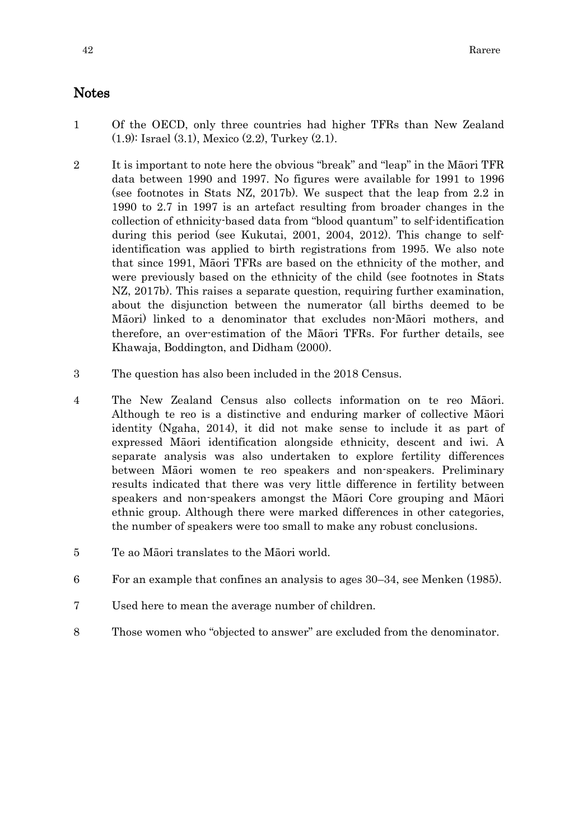### Notes

- 1 Of the OECD, only three countries had higher TFRs than New Zealand (1.9): Israel (3.1), Mexico (2.2), Turkey (2.1).
- 2 It is important to note here the obvious "break" and "leap" in the Māori TFR data between 1990 and 1997. No figures were available for 1991 to 1996 (see footnotes in Stats NZ, 2017b). We suspect that the leap from 2.2 in 1990 to 2.7 in 1997 is an artefact resulting from broader changes in the collection of ethnicity-based data from "blood quantum" to self-identification during this period (see Kukutai, 2001, 2004, 2012). This change to selfidentification was applied to birth registrations from 1995. We also note that since 1991, Māori TFRs are based on the ethnicity of the mother, and were previously based on the ethnicity of the child (see footnotes in Stats NZ, 2017b). This raises a separate question, requiring further examination, about the disjunction between the numerator (all births deemed to be Māori) linked to a denominator that excludes non-Māori mothers, and therefore, an over-estimation of the Māori TFRs. For further details, see Khawaja, Boddington, and Didham (2000).
- 3 The question has also been included in the 2018 Census.
- 4 The New Zealand Census also collects information on te reo Māori. Although te reo is a distinctive and enduring marker of collective Māori identity (Ngaha, 2014), it did not make sense to include it as part of expressed Māori identification alongside ethnicity, descent and iwi. A separate analysis was also undertaken to explore fertility differences between Māori women te reo speakers and non-speakers. Preliminary results indicated that there was very little difference in fertility between speakers and non-speakers amongst the Māori Core grouping and Māori ethnic group. Although there were marked differences in other categories, the number of speakers were too small to make any robust conclusions.
- 5 Te ao Māori translates to the Māori world.
- 6 For an example that confines an analysis to ages 30–34, see Menken (1985).
- 7 Used here to mean the average number of children.
- 8 Those women who "objected to answer" are excluded from the denominator.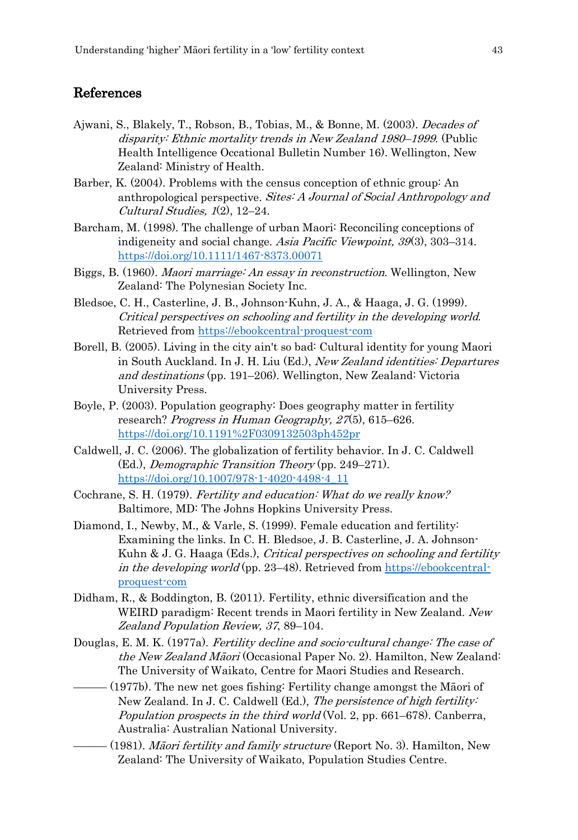## References

- Ajwani, S., Blakely, T., Robson, B., Tobias, M., & Bonne, M. (2003). Decades of disparity: Ethnic mortality trends in New Zealand 1980–1999. (Public Health Intelligence Occational Bulletin Number 16). Wellington, New Zealand: Ministry of Health.
- Barber, K. (2004). Problems with the census conception of ethnic group: An anthropological perspective. Sites: A Journal of Social Anthropology and Cultural Studies, 1(2), 12–24.
- Barcham, M. (1998). The challenge of urban Maori: Reconciling conceptions of indigeneity and social change. Asia Pacific Viewpoint, 39(3), 303–314. https://doi.org/10.1111/1467-8373.00071
- Biggs, B. (1960). Maori marriage: An essay in reconstruction. Wellington, New Zealand: The Polynesian Society Inc.
- Bledsoe, C. H., Casterline, J. B., Johnson-Kuhn, J. A., & Haaga, J. G. (1999). Critical perspectives on schooling and fertility in the developing world. Retrieved from https://ebookcentral-proquest-com
- Borell, B. (2005). Living in the city ain't so bad: Cultural identity for young Maori in South Auckland. In J. H. Liu (Ed.), New Zealand identities: Departures and destinations (pp. 191–206). Wellington, New Zealand: Victoria University Press.
- Boyle, P. (2003). Population geography: Does geography matter in fertility research? Progress in Human Geography, 27(5), 615–626. https://doi.org/10.1191%2F0309132503ph452pr
- Caldwell, J. C. (2006). The globalization of fertility behavior. In J. C. Caldwell (Ed.), Demographic Transition Theory (pp. 249–271). https://doi.org/10.1007/978-1-4020-4498-4\_11
- Cochrane, S. H. (1979). Fertility and education: What do we really know? Baltimore, MD: The Johns Hopkins University Press.
- Diamond, I., Newby, M., & Varle, S. (1999). Female education and fertility: Examining the links. In C. H. Bledsoe, J. B. Casterline, J. A. Johnson-Kuhn & J. G. Haaga (Eds.), *Critical perspectives on schooling and fertility* in the developing world (pp. 23–48). Retrieved from https://ebookcentralproquest-com
- Didham, R., & Boddington, B. (2011). Fertility, ethnic diversification and the WEIRD paradigm: Recent trends in Maori fertility in New Zealand. New Zealand Population Review, 37, 89–104.
- Douglas, E. M. K. (1977a). Fertility decline and socio-cultural change: The case of the New Zealand Māori (Occasional Paper No. 2). Hamilton, New Zealand: The University of Waikato, Centre for Maori Studies and Research.
- $-$  (1977b). The new net goes fishing: Fertility change amongst the Māori of New Zealand. In J. C. Caldwell (Ed.), The persistence of high fertility: Population prospects in the third world (Vol. 2, pp. 661–678). Canberra, Australia: Australian National University.
- (1981). *Māori fertility and family structure* (Report No. 3). Hamilton, New Zealand: The University of Waikato, Population Studies Centre.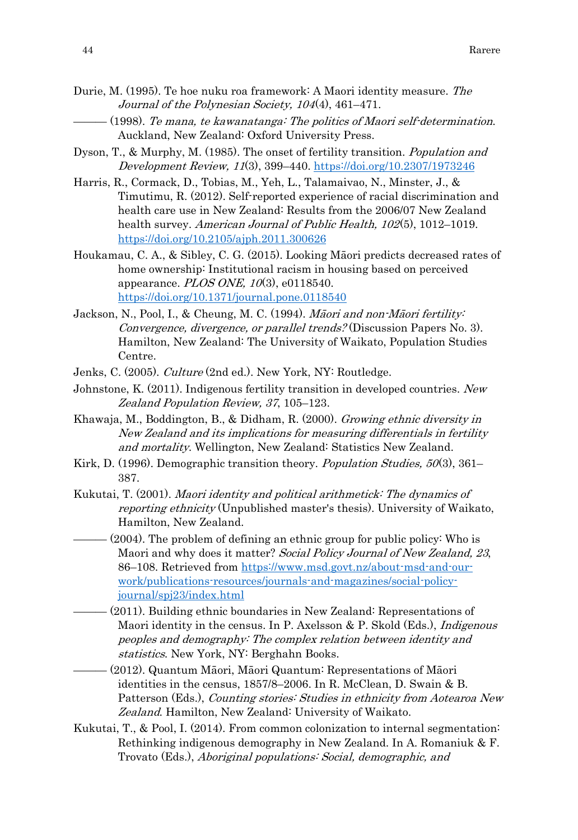- Durie, M. (1995). Te hoe nuku roa framework: A Maori identity measure. The Journal of the Polynesian Society, 104(4), 461–471.
- $(1998)$ . Te mana, te kawanatanga: The politics of Maori self-determination. Auckland, New Zealand: Oxford University Press.
- Dyson, T., & Murphy, M. (1985). The onset of fertility transition. Population and Development Review, 11(3), 399–440. https://doi.org/10.2307/1973246
- Harris, R., Cormack, D., Tobias, M., Yeh, L., Talamaivao, N., Minster, J., & Timutimu, R. (2012). Self-reported experience of racial discrimination and health care use in New Zealand: Results from the 2006/07 New Zealand health survey. American Journal of Public Health, 102(5), 1012–1019. https://doi.org/10.2105/ajph.2011.300626
- Houkamau, C. A., & Sibley, C. G. (2015). Looking Māori predicts decreased rates of home ownership: Institutional racism in housing based on perceived appearance. *PLOS ONE*, 10(3), e0118540. <https://doi.org/10.1371/journal.pone.0118540>
- Jackson, N., Pool, I., & Cheung, M. C. (1994). Māori and non-Māori fertility: Convergence, divergence, or parallel trends? (Discussion Papers No. 3). Hamilton, New Zealand: The University of Waikato, Population Studies Centre.
- Jenks, C. (2005). *Culture* (2nd ed.). New York, NY: Routledge.
- Johnstone, K. (2011). Indigenous fertility transition in developed countries. New Zealand Population Review, 37, 105–123.
- Khawaja, M., Boddington, B., & Didham, R. (2000). Growing ethnic diversity in New Zealand and its implications for measuring differentials in fertility and mortality. Wellington, New Zealand: Statistics New Zealand.
- Kirk, D. (1996). Demographic transition theory. *Population Studies, 50*(3), 361– 387.
- Kukutai, T. (2001). Maori identity and political arithmetick: The dynamics of reporting ethnicity (Unpublished master's thesis). University of Waikato, Hamilton, New Zealand.
- $-$  (2004). The problem of defining an ethnic group for public policy: Who is Maori and why does it matter? Social Policy Journal of New Zealand, 23, 86–108. Retrieved from https://www.msd.govt.nz/about-msd-and-ourwork/publications-resources/journals-and-magazines/social-policyjournal/spj23/index.html
- $-$  (2011). Building ethnic boundaries in New Zealand: Representations of Maori identity in the census. In P. Axelsson & P. Skold (Eds.), *Indigenous* peoples and demography: The complex relation between identity and statistics. New York, NY: Berghahn Books.
- ——— (2012). Quantum Māori, Māori Quantum: Representations of Māori identities in the census, 1857/8–2006. In R. McClean, D. Swain & B. Patterson (Eds.), Counting stories: Studies in ethnicity from Aotearoa New Zealand. Hamilton, New Zealand: University of Waikato.
- Kukutai, T., & Pool, I. (2014). From common colonization to internal segmentation: Rethinking indigenous demography in New Zealand. In A. Romaniuk & F. Trovato (Eds.), Aboriginal populations: Social, demographic, and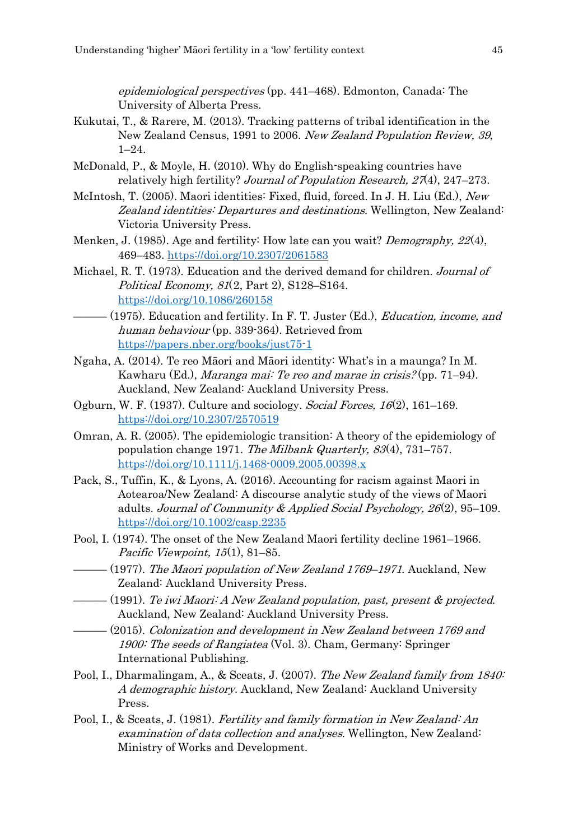epidemiological perspectives (pp. 441–468). Edmonton, Canada: The University of Alberta Press.

- Kukutai, T., & Rarere, M. (2013). Tracking patterns of tribal identification in the New Zealand Census, 1991 to 2006. New Zealand Population Review, 39, 1–24.
- McDonald, P., & Moyle, H. (2010). Why do English-speaking countries have relatively high fertility? Journal of Population Research, 27(4), 247-273.
- McIntosh, T. (2005). Maori identities: Fixed, fluid, forced. In J. H. Liu (Ed.), New Zealand identities: Departures and destinations. Wellington, New Zealand: Victoria University Press.
- Menken, J. (1985). Age and fertility: How late can you wait? *Demography, 22(4)*, 469–483[. https://doi.org/10.2307/2061583](https://doi.org/10.2307/2061583)
- Michael, R. T. (1973). Education and the derived demand for children. *Journal of* Political Economy, 81(2, Part 2), S128–S164. https://doi.org/10.1086/260158
- $-$  (1975). Education and fertility. In F. T. Juster (Ed.), Education, income, and human behaviour (pp. 339-364). Retrieved from https://papers.nber.org/books/just75-1
- Ngaha, A. (2014). Te reo Māori and Māori identity: What's in a maunga? In M. Kawharu (Ed.), Maranga mai: Te reo and marae in crisis? (pp. 71–94). Auckland, New Zealand: Auckland University Press.
- Ogburn, W. F. (1937). Culture and sociology. Social Forces, 16(2), 161–169. <https://doi.org/10.2307/2570519>
- Omran, A. R. (2005). The epidemiologic transition: A theory of the epidemiology of population change 1971. The Milbank Quarterly, 83(4), 731–757. https://doi.org/10.1111/j.1468-0009.2005.00398.x
- Pack, S., Tuffin, K., & Lyons, A. (2016). Accounting for racism against Maori in Aotearoa/New Zealand: A discourse analytic study of the views of Maori adults. Journal of Community & Applied Social Psychology, 26(2), 95–109. https://doi.org/10.1002/casp.2235
- Pool, I. (1974). The onset of the New Zealand Maori fertility decline 1961–1966. Pacific Viewpoint, 15(1), 81–85.
- $-$  (1977). The Maori population of New Zealand 1769–1971. Auckland, New Zealand: Auckland University Press.
- $-$  (1991). Te iwi Maori: A New Zealand population, past, present & projected. Auckland, New Zealand: Auckland University Press.
- ——— (2015). Colonization and development in New Zealand between 1769 and 1900: The seeds of Rangiatea (Vol. 3). Cham, Germany: Springer International Publishing.
- Pool, I., Dharmalingam, A., & Sceats, J. (2007). The New Zealand family from 1840: A demographic history. Auckland, New Zealand: Auckland University Press.
- Pool, I., & Sceats, J. (1981). Fertility and family formation in New Zealand: An examination of data collection and analyses. Wellington, New Zealand: Ministry of Works and Development.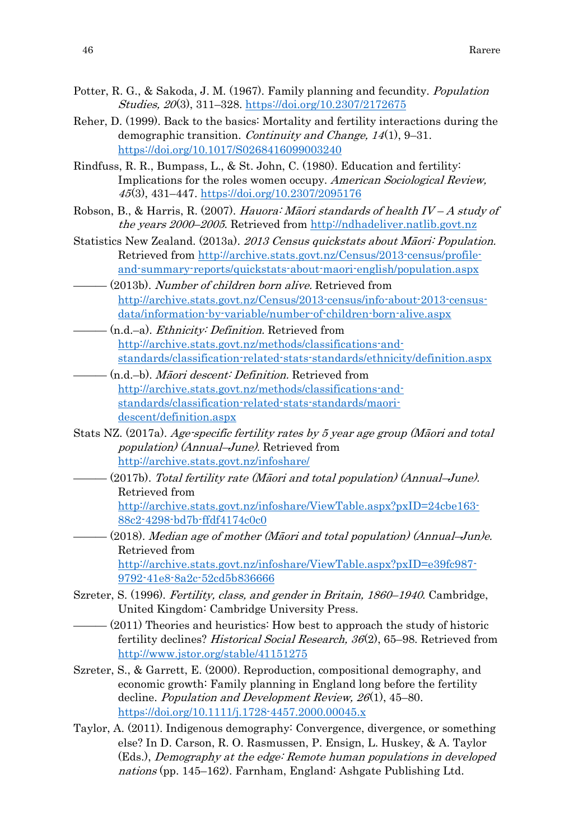- Potter, R. G., & Sakoda, J. M. (1967). Family planning and fecundity. Population Studies, 20(3), 311–328[. https://doi.org/10.2307/2172675](https://doi.org/10.2307/2172675)
- Reher, D. (1999). Back to the basics: Mortality and fertility interactions during the demographic transition. Continuity and Change, 14(1), 9–31. <https://doi.org/10.1017/S0268416099003240>
- Rindfuss, R. R., Bumpass, L., & St. John, C. (1980). Education and fertility: Implications for the roles women occupy. American Sociological Review, 45(3), 431–447.<https://doi.org/10.2307/2095176>
- Robson, B., & Harris, R. (2007). Hauora: Māori standards of health  $IV-A$  study of the years 2000–2005. Retrieved from http://ndhadeliver.natlib.govt.nz
- Statistics New Zealand. (2013a). 2013 Census quickstats about Māori: Population. Retrieved from [http://archive.stats.govt.nz/Census/2013-census/profile](http://archive.stats.govt.nz/Census/2013-census/profile-and-summary-reports/quickstats-about-maori-english/population.aspx)[and-summary-reports/quickstats-about-maori-english/population.aspx](http://archive.stats.govt.nz/Census/2013-census/profile-and-summary-reports/quickstats-about-maori-english/population.aspx)
- (2013b). Number of children born alive. Retrieved from [http://archive.stats.govt.nz/Census/2013-census/info-about-2013-census](http://archive.stats.govt.nz/Census/2013-census/info-about-2013-census-data/information-by-variable/number-of-children-born-alive.aspx)[data/information-by-variable/number-of-children-born-alive.aspx](http://archive.stats.govt.nz/Census/2013-census/info-about-2013-census-data/information-by-variable/number-of-children-born-alive.aspx)
- $-$  (n.d.–a). *Ethnicity: Definition*. Retrieved from [http://archive.stats.govt.nz/methods/classifications-and](http://archive.stats.govt.nz/methods/classifications-and-standards/classification-related-stats-standards/ethnicity/definition.aspx)[standards/classification-related-stats-standards/ethnicity/definition.aspx](http://archive.stats.govt.nz/methods/classifications-and-standards/classification-related-stats-standards/ethnicity/definition.aspx)
- ——— (n.d.–b). Māori descent: Definition. Retrieved from [http://archive.stats.govt.nz/methods/classifications-and](http://archive.stats.govt.nz/methods/classifications-and-standards/classification-related-stats-standards/maori-descent/definition.aspx)[standards/classification-related-stats-standards/maori](http://archive.stats.govt.nz/methods/classifications-and-standards/classification-related-stats-standards/maori-descent/definition.aspx)[descent/definition.aspx](http://archive.stats.govt.nz/methods/classifications-and-standards/classification-related-stats-standards/maori-descent/definition.aspx)
- Stats NZ. (2017a). Age-specific fertility rates by 5 year age group (Māori and total population) (Annual–June). Retrieved from <http://archive.stats.govt.nz/infoshare/>
- ——— (2017b). Total fertility rate (Māori and total population) (Annual–June). Retrieved from [http://archive.stats.govt.nz/infoshare/ViewTable.aspx?pxID=24cbe163-](http://archive.stats.govt.nz/infoshare/ViewTable.aspx?pxID=24cbe163-88c2-4298-bd7b-ffdf4174c0c0) [88c2-4298-bd7b-ffdf4174c0c0](http://archive.stats.govt.nz/infoshare/ViewTable.aspx?pxID=24cbe163-88c2-4298-bd7b-ffdf4174c0c0)
- $-(2018)$ . Median age of mother (Maori and total population) (Annual–Jun)e. Retrieved from http://archive.stats.govt.nz/infoshare/ViewTable.aspx?pxID=e39fc987- 9792-41e8-8a2c-52cd5b836666
- Szreter, S. (1996). Fertility, class, and gender in Britain, 1860–1940. Cambridge, United Kingdom: Cambridge University Press.
- $-$  (2011) Theories and heuristics: How best to approach the study of historic fertility declines? Historical Social Research, 36(2), 65–98. Retrieved from <http://www.jstor.org/stable/41151275>
- Szreter, S., & Garrett, E. (2000). Reproduction, compositional demography, and economic growth: Family planning in England long before the fertility decline. Population and Development Review, 26(1), 45–80. <https://doi.org/10.1111/j.1728-4457.2000.00045.x>
- Taylor, A. (2011). Indigenous demography: Convergence, divergence, or something else? In D. Carson, R. O. Rasmussen, P. Ensign, L. Huskey, & A. Taylor (Eds.), Demography at the edge: Remote human populations in developed nations (pp. 145–162). Farnham, England: Ashgate Publishing Ltd.